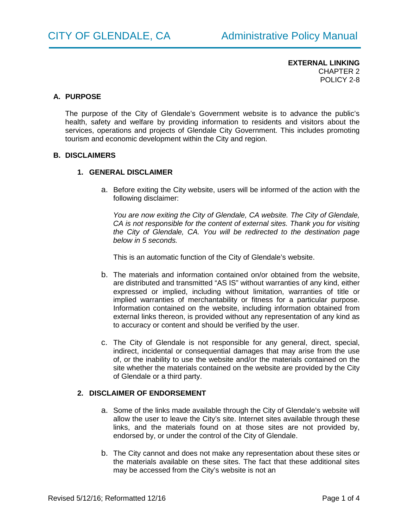# **A. PURPOSE**

The purpose of the City of Glendale's Government website is to advance the public's health, safety and welfare by providing information to residents and visitors about the services, operations and projects of Glendale City Government. This includes promoting tourism and economic development within the City and region.

#### **B. DISCLAIMERS**

#### **1. GENERAL DISCLAIMER**

a. Before exiting the City website, users will be informed of the action with the following disclaimer:

*You are now exiting the City of Glendale, CA website. The City of Glendale, CA is not responsible for the content of external sites. Thank you for visiting the City of Glendale, CA. You will be redirected to the destination page below in 5 seconds.*

This is an automatic function of the City of Glendale's website.

- b. The materials and information contained on/or obtained from the website, are distributed and transmitted "AS IS" without warranties of any kind, either expressed or implied, including without limitation, warranties of title or implied warranties of merchantability or fitness for a particular purpose. Information contained on the website, including information obtained from external links thereon, is provided without any representation of any kind as to accuracy or content and should be verified by the user.
- c. The City of Glendale is not responsible for any general, direct, special, indirect, incidental or consequential damages that may arise from the use of, or the inability to use the website and/or the materials contained on the site whether the materials contained on the website are provided by the City of Glendale or a third party.

## **2. DISCLAIMER OF ENDORSEMENT**

- a. Some of the links made available through the City of Glendale's website will allow the user to leave the City's site. Internet sites available through these links, and the materials found on at those sites are not provided by, endorsed by, or under the control of the City of Glendale.
- b. The City cannot and does not make any representation about these sites or the materials available on these sites. The fact that these additional sites may be accessed from the City's website is not an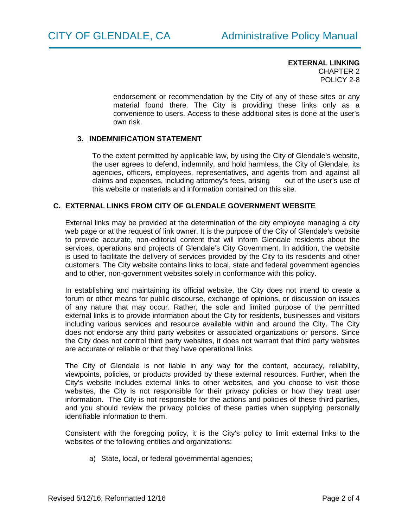endorsement or recommendation by the City of any of these sites or any material found there. The City is providing these links only as a convenience to users. Access to these additional sites is done at the user's own risk.

# **3. INDEMNIFICATION STATEMENT**

To the extent permitted by applicable law, by using the City of Glendale's website, the user agrees to defend, indemnify, and hold harmless, the City of Glendale, its agencies, officers, employees, representatives, and agents from and against all claims and expenses, including attorney's fees, arising out of the user's use of this website or materials and information contained on this site.

## **C. EXTERNAL LINKS FROM CITY OF GLENDALE GOVERNMENT WEBSITE**

External links may be provided at the determination of the city employee managing a city web page or at the request of link owner. It is the purpose of the City of Glendale's website to provide accurate, non-editorial content that will inform Glendale residents about the services, operations and projects of Glendale's City Government. In addition, the website is used to facilitate the delivery of services provided by the City to its residents and other customers. The City website contains links to local, state and federal government agencies and to other, non-government websites solely in conformance with this policy.

In establishing and maintaining its official website, the City does not intend to create a forum or other means for public discourse, exchange of opinions, or discussion on issues of any nature that may occur. Rather, the sole and limited purpose of the permitted external links is to provide information about the City for residents, businesses and visitors including various services and resource available within and around the City. The City does not endorse any third party websites or associated organizations or persons. Since the City does not control third party websites, it does not warrant that third party websites are accurate or reliable or that they have operational links.

The City of Glendale is not liable in any way for the content, accuracy, reliability, viewpoints, policies, or products provided by these external resources. Further, when the City's website includes external links to other websites, and you choose to visit those websites, the City is not responsible for their privacy policies or how they treat user information. The City is not responsible for the actions and policies of these third parties, and you should review the privacy policies of these parties when supplying personally identifiable information to them.

Consistent with the foregoing policy, it is the City's policy to limit external links to the websites of the following entities and organizations:

a) State, local, or federal governmental agencies;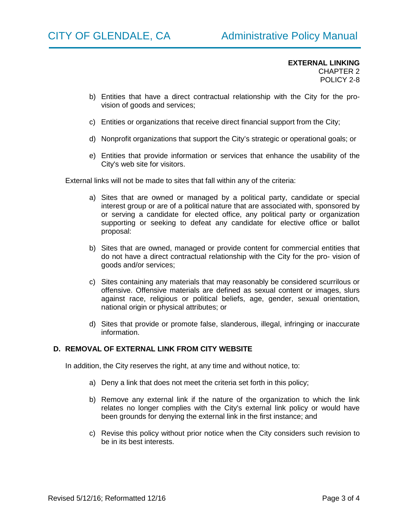- b) Entities that have a direct contractual relationship with the City for the provision of goods and services;
- c) Entities or organizations that receive direct financial support from the City;
- d) Nonprofit organizations that support the City's strategic or operational goals; or
- e) Entities that provide information or services that enhance the usability of the City's web site for visitors.

External links will not be made to sites that fall within any of the criteria:

- a) Sites that are owned or managed by a political party, candidate or special interest group or are of a political nature that are associated with, sponsored by or serving a candidate for elected office, any political party or organization supporting or seeking to defeat any candidate for elective office or ballot proposal:
- b) Sites that are owned, managed or provide content for commercial entities that do not have a direct contractual relationship with the City for the pro- vision of goods and/or services;
- c) Sites containing any materials that may reasonably be considered scurrilous or offensive. Offensive materials are defined as sexual content or images, slurs against race, religious or political beliefs, age, gender, sexual orientation, national origin or physical attributes; or
- d) Sites that provide or promote false, slanderous, illegal, infringing or inaccurate information.

# **D. REMOVAL OF EXTERNAL LINK FROM CITY WEBSITE**

In addition, the City reserves the right, at any time and without notice, to:

- a) Deny a link that does not meet the criteria set forth in this policy;
- b) Remove any external link if the nature of the organization to which the link relates no longer complies with the City's external link policy or would have been grounds for denying the external link in the first instance; and
- c) Revise this policy without prior notice when the City considers such revision to be in its best interests.